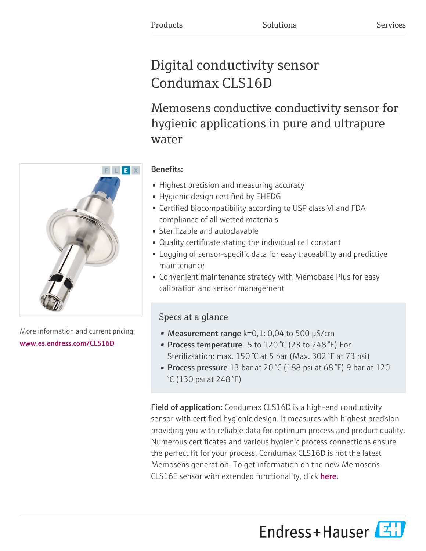# Digital conductivity sensor Condumax CLS16D

Memosens conductive conductivity sensor for hygienic applications in pure and ultrapure water



More information and current pricing: [www.es.endress.com/CLS16D](https://www.es.endress.com/CLS16D)

# Benefits:

- Highest precision and measuring accuracy
- Hygienic design certified by EHEDG
- Certified biocompatibility according to USP class VI and FDA compliance of all wetted materials
- Sterilizable and autoclavable
- Quality certificate stating the individual cell constant
- Logging of sensor-specific data for easy traceability and predictive maintenance
- Convenient maintenance strategy with Memobase Plus for easy calibration and sensor management

# Specs at a glance

- Measurement range  $k=0,1: 0,04$  to 500  $\mu$ S/cm
- Process temperature -5 to 120 °C (23 to 248 °F) For Sterilizsation: max. 150 °C at 5 bar (Max. 302 °F at 73 psi)
- Process pressure 13 bar at 20  $°C$  (188 psi at 68  $°F$ ) 9 bar at 120 °C (130 psi at 248 °F)

Field of application: Condumax CLS16D is a high-end conductivity sensor with certified hygienic design. It measures with highest precision providing you with reliable data for optimum process and product quality. Numerous certificates and various hygienic process connections ensure the perfect fit for your process. Condumax CLS16D is not the latest Memosens generation. To get information on the new Memosens CLS16E sensor with extended functionality, click [here](https://www.endress.com/CLS16E).

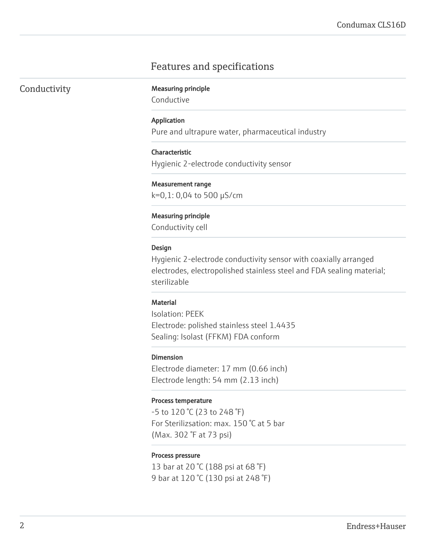## Features and specifications

|  |  | Conductivity |
|--|--|--------------|
|  |  |              |

**Measuring principle** 

Conductive

#### Application

Pure and ultrapure water, pharmaceutical industry

#### Characteristic

Hygienic 2-electrode conductivity sensor

#### Measurement range

k=0,1: 0,04 to 500 µS/cm

#### Measuring principle

Conductivity cell

#### Design

Hygienic 2-electrode conductivity sensor with coaxially arranged electrodes, electropolished stainless steel and FDA sealing material; sterilizable

#### **Material**

Isolation: PEEK Electrode: polished stainless steel 1.4435 Sealing: Isolast (FFKM) FDA conform

#### Dimension

Electrode diameter: 17 mm (0.66 inch) Electrode length: 54 mm (2.13 inch)

#### Process temperature

-5 to 120 °C (23 to 248 °F) For Sterilizsation: max. 150 °C at 5 bar (Max. 302 °F at 73 psi)

#### Process pressure

13 bar at 20 °C (188 psi at 68 °F) 9 bar at 120 °C (130 psi at 248 °F)